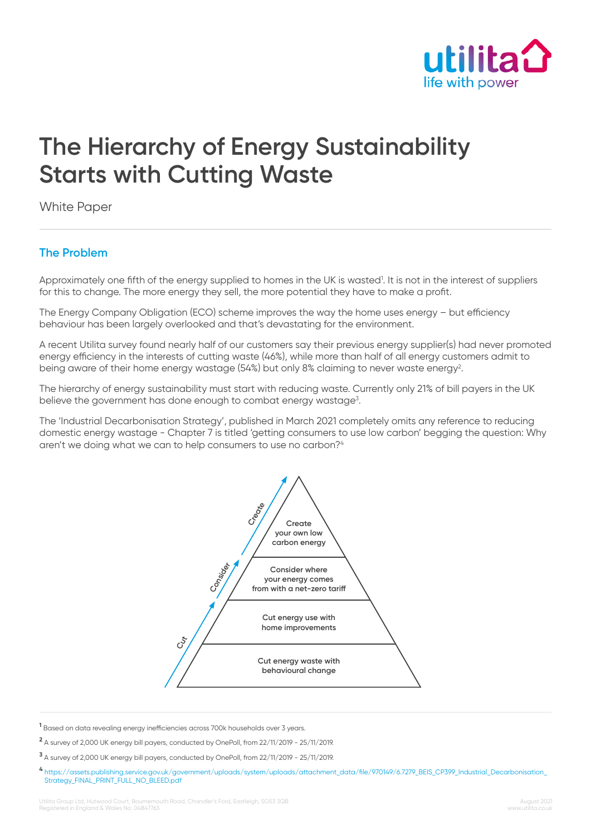

# **The Hierarchy of Energy Sustainability Starts with Cutting Waste**

White Paper

## **The Problem**

Approximately one fifth of the energy supplied to homes in the UK is wasted<sup>1</sup>. It is not in the interest of suppliers for this to change. The more energy they sell, the more potential they have to make a profit.

The Energy Company Obligation (ECO) scheme improves the way the home uses energy – but efficiency behaviour has been largely overlooked and that's devastating for the environment.

A recent Utilita survey found nearly half of our customers say their previous energy supplier(s) had never promoted energy efficiency in the interests of cutting waste (46%), while more than half of all energy customers admit to being aware of their home energy wastage (54%) but only 8% claiming to never waste energy<sup>2</sup>.

The hierarchy of energy sustainability must start with reducing waste. Currently only 21% of bill payers in the UK believe the government has done enough to combat energy wastage<sup>3</sup>.

The 'Industrial Decarbonisation Strategy', published in March 2021 completely omits any reference to reducing domestic energy wastage - Chapter 7 is titled 'getting consumers to use low carbon' begging the question: Why aren't we doing what we can to help consumers to use no carbon?<sup>4</sup>



**1** Based on data revealing energy inefficiencies across 700k households over 3 years.

**2** A survey of 2,000 UK energy bill payers, conducted by OnePoll, from 22/11/2019 - 25/11/2019.

**3** A survey of 2,000 UK energy bill payers, conducted by OnePoll, from 22/11/2019 - 25/11/2019.

**<sup>4</sup>** [https://assets.publishing.service.gov.uk/government/uploads/system/uploads/attachment\\_data/file/970149/6.7279\\_BEIS\\_CP399\\_Industrial\\_Decarbonisation\\_](https://assets.publishing.service.gov.uk/government/uploads/system/uploads/attachment_data/file/970149/6.7279_BEIS_CP399_Industrial_Decarbonisation_Strategy_FINAL_PRINT_FULL_NO_BLEED.pdf) [Strategy\\_FINAL\\_PRINT\\_FULL\\_NO\\_BLEED.pdf](https://assets.publishing.service.gov.uk/government/uploads/system/uploads/attachment_data/file/970149/6.7279_BEIS_CP399_Industrial_Decarbonisation_Strategy_FINAL_PRINT_FULL_NO_BLEED.pdf)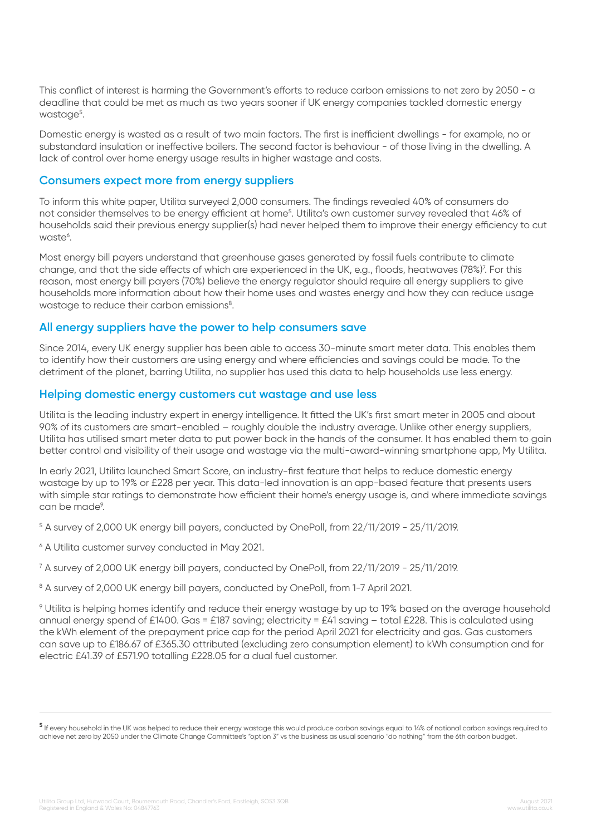This conflict of interest is harming the Government's efforts to reduce carbon emissions to net zero by 2050 - a deadline that could be met as much as two years sooner if UK energy companies tackled domestic energy wastage<sup>5</sup>.

Domestic energy is wasted as a result of two main factors. The first is inefficient dwellings - for example, no or substandard insulation or ineffective boilers. The second factor is behaviour - of those living in the dwelling. A lack of control over home energy usage results in higher wastage and costs.

#### **Consumers expect more from energy suppliers**

To inform this white paper, Utilita surveyed 2,000 consumers. The findings revealed 40% of consumers do not consider themselves to be energy efficient at home<sup>5</sup>. Utilita's own customer survey revealed that 46% of households said their previous energy supplier(s) had never helped them to improve their energy efficiency to cut waste<sup>6</sup>.

Most energy bill payers understand that greenhouse gases generated by fossil fuels contribute to climate change, and that the side effects of which are experienced in the UK, e.g., floods, heatwaves (78%)<sup>7</sup>. For this reason, most energy bill payers (70%) believe the energy regulator should require all energy suppliers to give households more information about how their home uses and wastes energy and how they can reduce usage wastage to reduce their carbon emissions<sup>8</sup>.

#### **All energy suppliers have the power to help consumers save**

Since 2014, every UK energy supplier has been able to access 30-minute smart meter data. This enables them to identify how their customers are using energy and where efficiencies and savings could be made. To the detriment of the planet, barring Utilita, no supplier has used this data to help households use less energy.

#### **Helping domestic energy customers cut wastage and use less**

Utilita is the leading industry expert in energy intelligence. It fitted the UK's first smart meter in 2005 and about 90% of its customers are smart-enabled – roughly double the industry average. Unlike other energy suppliers, Utilita has utilised smart meter data to put power back in the hands of the consumer. It has enabled them to gain better control and visibility of their usage and wastage via the multi-award-winning smartphone app, My Utilita.

In early 2021, Utilita launched Smart Score, an industry-first feature that helps to reduce domestic energy wastage by up to 19% or £228 per year. This data-led innovation is an app-based feature that presents users with simple star ratings to demonstrate how efficient their home's energy usage is, and where immediate savings can be made<sup>9</sup>.

 $^{\rm 5}$  A survey of 2,000 UK energy bill payers, conducted by OnePoll, from 22/11/2019 - 25/11/2019.

6 A Utilita customer survey conducted in May 2021.

7 A survey of 2,000 UK energy bill payers, conducted by OnePoll, from 22/11/2019 - 25/11/2019.

<sup>8</sup> A survey of 2,000 UK energy bill payers, conducted by OnePoll, from 1-7 April 2021.

9 Utilita is helping homes identify and reduce their energy wastage by up to 19% based on the average household annual energy spend of £1400. Gas = £187 saving; electricity = £41 saving – total £228. This is calculated using the kWh element of the prepayment price cap for the period April 2021 for electricity and gas. Gas customers can save up to £186.67 of £365.30 attributed (excluding zero consumption element) to kWh consumption and for electric £41.39 of £571.90 totalling £228.05 for a dual fuel customer.

**<sup>5</sup>** If every household in the UK was helped to reduce their energy wastage this would produce carbon savings equal to 14% of national carbon savings required to achieve net zero by 2050 under the Climate Change Committee's "option 3" vs the business as usual scenario "do nothing" from the 6th carbon budget.